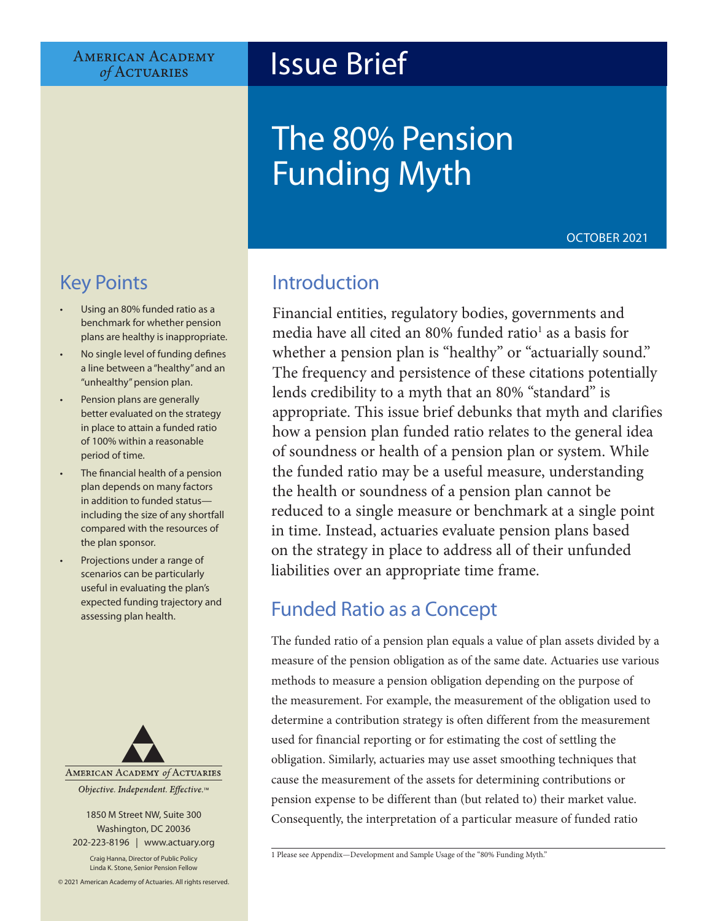**AMERICAN ACADEMY** of ACTUARIES

# Issue Brief

# The 80% Pension Funding Myth

OCTOBER 2021

# Key Points

- Using an 80% funded ratio as a benchmark for whether pension plans are healthy is inappropriate.
- No single level of funding defines a line between a "healthy" and an "unhealthy" pension plan.
- Pension plans are generally better evaluated on the strategy in place to attain a funded ratio of 100% within a reasonable period of time.
- The financial health of a pension plan depends on many factors in addition to funded status including the size of any shortfall compared with the resources of the plan sponsor.
- Projections under a range of scenarios can be particularly useful in evaluating the plan's expected funding trajectory and assessing plan health.



1850 M Street NW, Suite 300 Washington, DC 20036 202-223-8196 | [www.actuary.org](http://actuary.org)

Craig Hanna, Director of Public Policy Linda K. Stone, Senior Pension Fellow

© 2021 American Academy of Actuaries. All rights reserved.

## Introduction

Financial entities, regulatory bodies, governments and media have all cited an 80% funded ratio<sup>1</sup> as a basis for whether a pension plan is "healthy" or "actuarially sound." The frequency and persistence of these citations potentially lends credibility to a myth that an 80% "standard" is appropriate. This issue brief debunks that myth and clarifies how a pension plan funded ratio relates to the general idea of soundness or health of a pension plan or system. While the funded ratio may be a useful measure, understanding the health or soundness of a pension plan cannot be reduced to a single measure or benchmark at a single point in time. Instead, actuaries evaluate pension plans based on the strategy in place to address all of their unfunded liabilities over an appropriate time frame.

## Funded Ratio as a Concept

The funded ratio of a pension plan equals a value of plan assets divided by a measure of the pension obligation as of the same date. Actuaries use various methods to measure a pension obligation depending on the purpose of the measurement. For example, the measurement of the obligation used to determine a contribution strategy is often different from the measurement used for financial reporting or for estimating the cost of settling the obligation. Similarly, actuaries may use asset smoothing techniques that cause the measurement of the assets for determining contributions or pension expense to be different than (but related to) their market value. Consequently, the interpretation of a particular measure of funded ratio

<sup>1</sup> Please see Appendix—Development and Sample Usage of the "80% Funding Myth."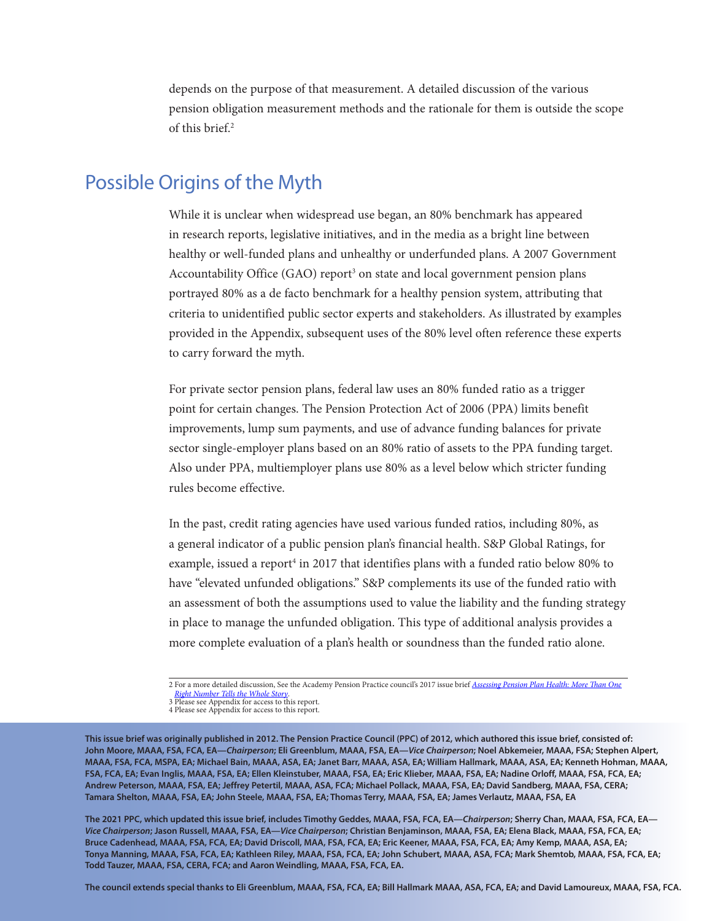depends on the purpose of that measurement. A detailed discussion of the various pension obligation measurement methods and the rationale for them is outside the scope of this brief.<sup>2</sup>

### Possible Origins of the Myth

While it is unclear when widespread use began, an 80% benchmark has appeared in research reports, legislative initiatives, and in the media as a bright line between healthy or well-funded plans and unhealthy or underfunded plans. A 2007 Government Accountability Office (GAO) report<sup>3</sup> on state and local government pension plans portrayed 80% as a de facto benchmark for a healthy pension system, attributing that criteria to unidentified public sector experts and stakeholders. As illustrated by examples provided in the Appendix, subsequent uses of the 80% level often reference these experts to carry forward the myth.

For private sector pension plans, federal law uses an 80% funded ratio as a trigger point for certain changes. The Pension Protection Act of 2006 (PPA) limits benefit improvements, lump sum payments, and use of advance funding balances for private sector single-employer plans based on an 80% ratio of assets to the PPA funding target. Also under PPA, multiemployer plans use 80% as a level below which stricter funding rules become effective.

In the past, credit rating agencies have used various funded ratios, including 80%, as a general indicator of a public pension plan's financial health. S&P Global Ratings, for example, issued a report<sup>4</sup> in 2017 that identifies plans with a funded ratio below 80% to have "elevated unfunded obligations." S&P complements its use of the funded ratio with an assessment of both the assumptions used to value the liability and the funding strategy in place to manage the unfunded obligation. This type of additional analysis provides a more complete evaluation of a plan's health or soundness than the funded ratio alone.

2 For a more detailed discussion, See the Academy Pension Practice council's 2017 issue brief *[Assessing Pension Plan Health: More Than One](https://www.actuary.org/sites/default/files/files/publications/IB-RightNumber07.17.pdf)*

**This issue brief was originally published in 2012. The Pension Practice Council (PPC) of 2012, which authored this issue brief, consisted of: John Moore, MAAA, FSA, FCA, EA—***Chairperson***; Eli Greenblum, MAAA, FSA, EA—***Vice Chairperson***; Noel Abkemeier, MAAA, FSA; Stephen Alpert, MAAA, FSA, FCA, MSPA, EA; Michael Bain, MAAA, ASA, EA; Janet Barr, MAAA, ASA, EA; William Hallmark, MAAA, ASA, EA; Kenneth Hohman, MAAA, FSA, FCA, EA; Evan Inglis, MAAA, FSA, EA; Ellen Kleinstuber, MAAA, FSA, EA; Eric Klieber, MAAA, FSA, EA; Nadine Orloff, MAAA, FSA, FCA, EA; Andrew Peterson, MAAA, FSA, EA; Jeffrey Petertil, MAAA, ASA, FCA; Michael Pollack, MAAA, FSA, EA; David Sandberg, MAAA, FSA, CERA; Tamara Shelton, MAAA, FSA, EA; John Steele, MAAA, FSA, EA; Thomas Terry, MAAA, FSA, EA; James Verlautz, MAAA, FSA, EA**

**The 2021 PPC, which updated this issue brief, includes Timothy Geddes, MAAA, FSA, FCA, EA—***Chairperson***; Sherry Chan, MAAA, FSA, FCA, EA—** *Vice Chairperson***; Jason Russell, MAAA, FSA, EA—***Vice Chairperson***; Christian Benjaminson, MAAA, FSA, EA; Elena Black, MAAA, FSA, FCA, EA; Bruce Cadenhead, MAAA, FSA, FCA, EA; David Driscoll, MAA, FSA, FCA, EA; Eric Keener, MAAA, FSA, FCA, EA; Amy Kemp, MAAA, ASA, EA; Tonya Manning, MAAA, FSA, FCA, EA; Kathleen Riley, MAAA, FSA, FCA, EA; John Schubert, MAAA, ASA, FCA; Mark Shemtob, MAAA, FSA, FCA, EA; Todd Tauzer, MAAA, FSA, CERA, FCA; and Aaron Weindling, MAAA, FSA, FCA, EA.**

**The council extends special thanks to Eli Greenblum, MAAA, FSA, FCA, EA; Bill Hallmark MAAA, ASA, FCA, EA; and David Lamoureux, MAAA, FSA, FCA.**

*Right Number Tells the Whole Story*[.](https://www.actuary.org/sites/default/files/files/publications/IB-RightNumber07.17.pdf) 3 [Please see Appendix for access to th](https://www.actuary.org/sites/default/files/files/publications/IB-RightNumber07.17.pdf)is report. 4 Please see Appendix for access to this report.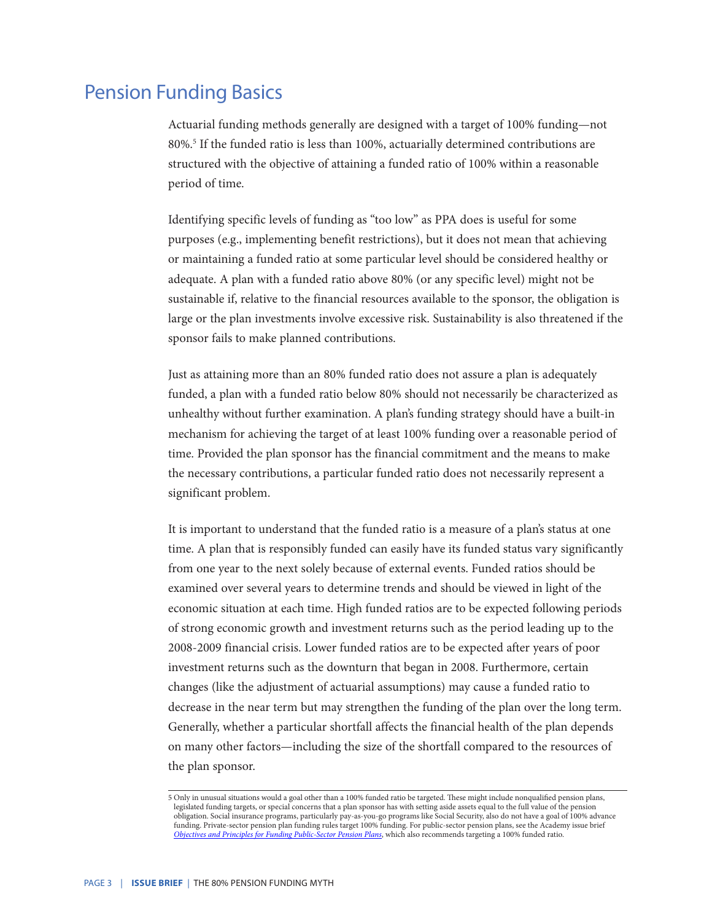### Pension Funding Basics

Actuarial funding methods generally are designed with a target of 100% funding—not 80%.<sup>5</sup> If the funded ratio is less than 100%, actuarially determined contributions are structured with the objective of attaining a funded ratio of 100% within a reasonable period of time.

Identifying specific levels of funding as "too low" as PPA does is useful for some purposes (e.g., implementing benefit restrictions), but it does not mean that achieving or maintaining a funded ratio at some particular level should be considered healthy or adequate. A plan with a funded ratio above 80% (or any specific level) might not be sustainable if, relative to the financial resources available to the sponsor, the obligation is large or the plan investments involve excessive risk. Sustainability is also threatened if the sponsor fails to make planned contributions.

Just as attaining more than an 80% funded ratio does not assure a plan is adequately funded, a plan with a funded ratio below 80% should not necessarily be characterized as unhealthy without further examination. A plan's funding strategy should have a built-in mechanism for achieving the target of at least 100% funding over a reasonable period of time. Provided the plan sponsor has the financial commitment and the means to make the necessary contributions, a particular funded ratio does not necessarily represent a significant problem.

It is important to understand that the funded ratio is a measure of a plan's status at one time. A plan that is responsibly funded can easily have its funded status vary significantly from one year to the next solely because of external events. Funded ratios should be examined over several years to determine trends and should be viewed in light of the economic situation at each time. High funded ratios are to be expected following periods of strong economic growth and investment returns such as the period leading up to the 2008-2009 financial crisis. Lower funded ratios are to be expected after years of poor investment returns such as the downturn that began in 2008. Furthermore, certain changes (like the adjustment of actuarial assumptions) may cause a funded ratio to decrease in the near term but may strengthen the funding of the plan over the long term. Generally, whether a particular shortfall affects the financial health of the plan depends on many other factors—including the size of the shortfall compared to the resources of the plan sponsor.

<sup>5</sup> Only in unusual situations would a goal other than a 100% funded ratio be targeted. These might include nonqualified pension plans, legislated funding targets, or special concerns that a plan sponsor has with setting aside assets equal to the full value of the pension obligation. Social insurance programs, particularly pay-as-you-go programs like Social Security, also do not have a goal of 100% advance funding. Private-sector pension plan funding rules target 100% funding. For public-sector pension plans, see the Academy issue brief *[Objectives and Principles for Funding Public-Sector Pension Plans](https://www.actuary.org/sites/default/files/files/Public-Plans_IB-Funding-Policy_02-18-2014.pdf)*, which also recommends targeting a 100% funded ratio.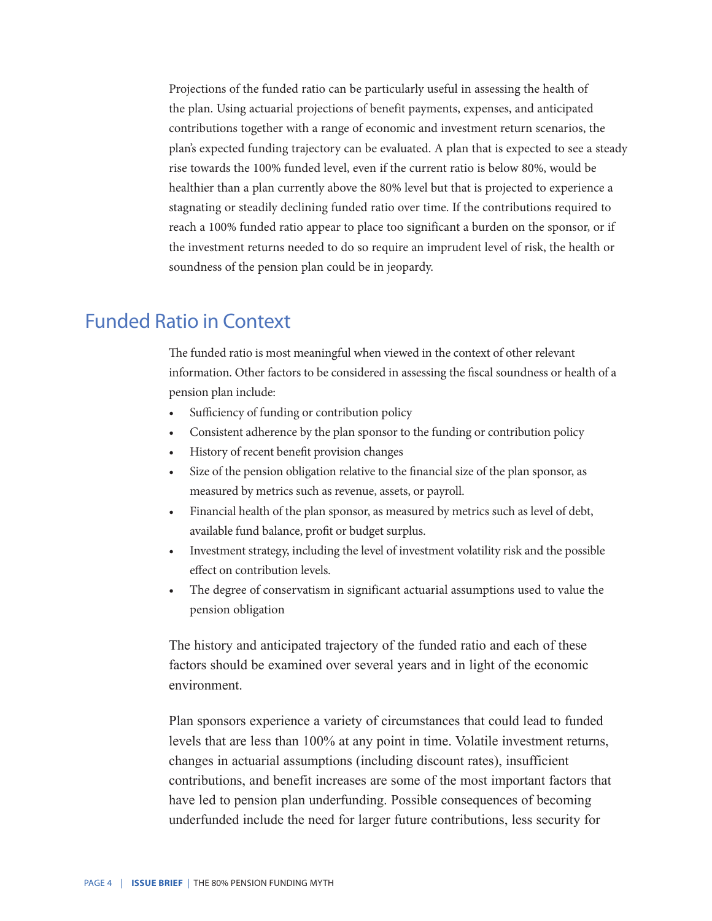Projections of the funded ratio can be particularly useful in assessing the health of the plan. Using actuarial projections of benefit payments, expenses, and anticipated contributions together with a range of economic and investment return scenarios, the plan's expected funding trajectory can be evaluated. A plan that is expected to see a steady rise towards the 100% funded level, even if the current ratio is below 80%, would be healthier than a plan currently above the 80% level but that is projected to experience a stagnating or steadily declining funded ratio over time. If the contributions required to reach a 100% funded ratio appear to place too significant a burden on the sponsor, or if the investment returns needed to do so require an imprudent level of risk, the health or soundness of the pension plan could be in jeopardy.

### Funded Ratio in Context

The funded ratio is most meaningful when viewed in the context of other relevant information. Other factors to be considered in assessing the fiscal soundness or health of a pension plan include:

- Sufficiency of funding or contribution policy
- Consistent adherence by the plan sponsor to the funding or contribution policy
- History of recent benefit provision changes
- Size of the pension obligation relative to the financial size of the plan sponsor, as measured by metrics such as revenue, assets, or payroll.
- Financial health of the plan sponsor, as measured by metrics such as level of debt, available fund balance, profit or budget surplus.
- Investment strategy, including the level of investment volatility risk and the possible effect on contribution levels.
- The degree of conservatism in significant actuarial assumptions used to value the pension obligation

The history and anticipated trajectory of the funded ratio and each of these factors should be examined over several years and in light of the economic environment.

Plan sponsors experience a variety of circumstances that could lead to funded levels that are less than 100% at any point in time. Volatile investment returns, changes in actuarial assumptions (including discount rates), insufficient contributions, and benefit increases are some of the most important factors that have led to pension plan underfunding. Possible consequences of becoming underfunded include the need for larger future contributions, less security for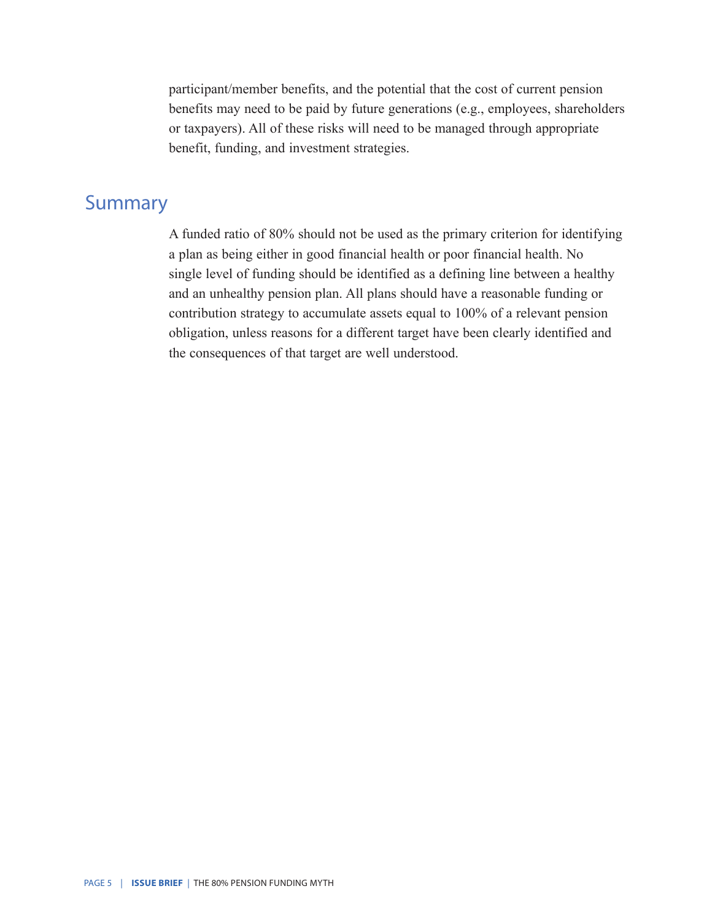participant/member benefits, and the potential that the cost of current pension benefits may need to be paid by future generations (e.g., employees, shareholders or taxpayers). All of these risks will need to be managed through appropriate benefit, funding, and investment strategies.

### **Summary**

A funded ratio of 80% should not be used as the primary criterion for identifying a plan as being either in good financial health or poor financial health. No single level of funding should be identified as a defining line between a healthy and an unhealthy pension plan. All plans should have a reasonable funding or contribution strategy to accumulate assets equal to 100% of a relevant pension obligation, unless reasons for a different target have been clearly identified and the consequences of that target are well understood.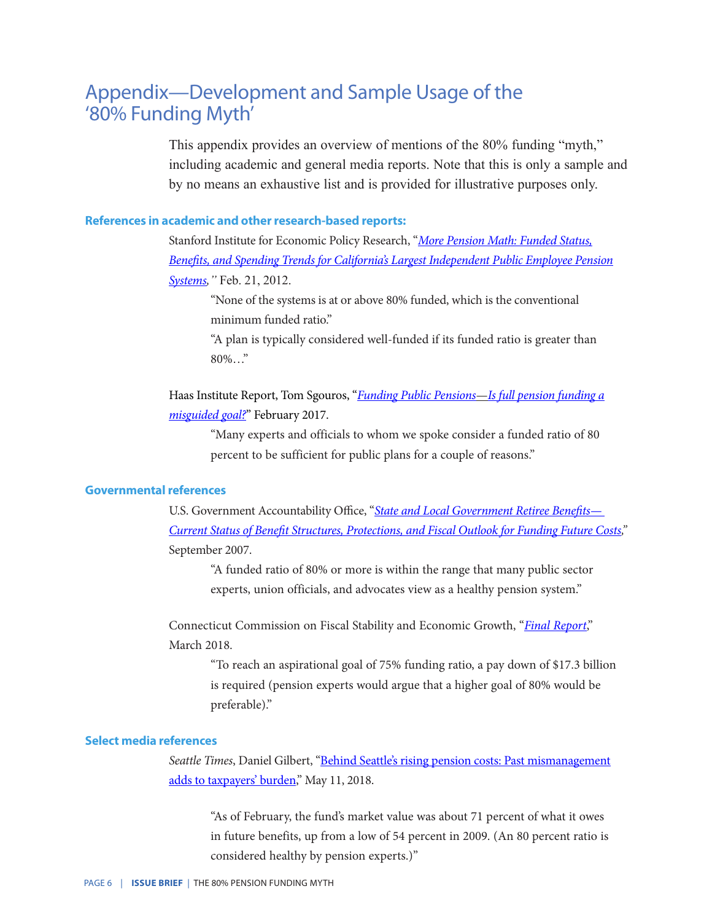### Appendix—Development and Sample Usage of the '80% Funding Myth'

This appendix provides an overview of mentions of the 80% funding "myth," including academic and general media reports. Note that this is only a sample and by no means an exhaustive list and is provided for illustrative purposes only.

#### **References in academic and other research-based reports:**

Stanford Institute for Economic Policy Research, "*[More Pension Math: Funded Status,](https://siepr.stanford.edu/sites/default/files/publications/Nation_More_Pension_0.pdf) [Benefits, and Spending Trends for California's Largest Independent Public Employee Pension](https://siepr.stanford.edu/sites/default/files/publications/Nation_More_Pension_0.pdf) [Systems,](https://siepr.stanford.edu/sites/default/files/publications/Nation_More_Pension_0.pdf)"* Feb. 21, 2012.

 "None of the systems is at or above 80% funded, which is the conventional minimum funded ratio."

 "A plan is typically considered well-funded if its funded ratio is greater than 80%…"

Haas Institute Report, Tom Sgouros, "*[Funding Public Pensions](https://belonging.berkeley.edu/sites/default/files/funding_public_pensions_-_publish.pdf)*—*Is full pension funding a [misguided goal?](https://belonging.berkeley.edu/sites/default/files/funding_public_pensions_-_publish.pdf)*" February 2017.

 "Many experts and officials to whom we spoke consider a funded ratio of 80 percent to be sufficient for public plans for a couple of reasons."

#### **Governmental references**

U.S. Government Accountability Office, "*[State and Local Government Retiree Benefits—](http://www.gao.gov/assets/270/267150.pdf)  [Current Status of Benefit Structures, Protections, and Fiscal Outlook for Funding Future Costs](http://www.gao.gov/assets/270/267150.pdf),"* September 2007.

 "A funded ratio of 80% or more is within the range that many public sector experts, union officials, and advocates view as a healthy pension system."

Connecticut Commission on Fiscal Stability and Economic Growth, "*[Final Report](https://crcog.org/wp-content/uploads/2018/03/Fiscal-Stability-Final-Report-DRAFT.pdf)*," March 2018.

 "To reach an aspirational goal of 75% funding ratio, a pay down of \$17.3 billion is required (pension experts would argue that a higher goal of 80% would be preferable)."

#### **Select media references**

*Seattle Times*, Daniel Gilbert, "[Behind Seattle's rising pension costs: Past mismanagement](https://www.seattletimes.com/seattle-news/seattles-retirement-fund-was-mismanaged-now-taxpayers-are-paying-the-price/) [adds to taxpayers' burden,](https://www.seattletimes.com/seattle-news/seattles-retirement-fund-was-mismanaged-now-taxpayers-are-paying-the-price/)" May 11, 2018.

 "As of February, the fund's market value was about 71 percent of what it owes in future benefits, up from a low of 54 percent in 2009. (An 80 percent ratio is considered healthy by pension experts.)"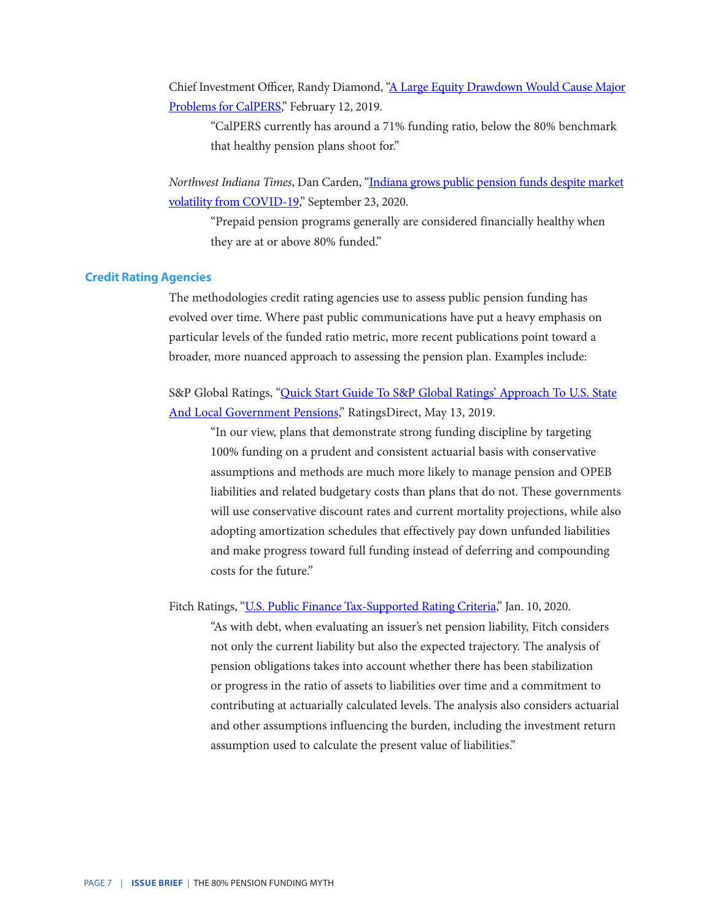Chief Investment Officer, Randy Diamond, ["A Large Equity Drawdown Would Cause Major](https://www.ai-cio.com/news/large-equity-drawdown-cause-major-problems-calpers/) [Problems for CalPERS,](https://www.ai-cio.com/news/large-equity-drawdown-cause-major-problems-calpers/)" February 12, 2019.

 "CalPERS currently has around a 71% funding ratio, below the 80% benchmark that healthy pension plans shoot for."

*Northwest Indiana Times*, Dan Carden, "[Indiana grows public pension funds despite market](https://www.nwitimes.com/news/local/govt-and-politics/indiana-grows-public-pension-funds-despite-market-volatility-from-covid-19/article_6fc6e5ed-9e5b-5ed1-9733-4dd8838f5e5d.html) [volatility from COVID-19](https://www.nwitimes.com/news/local/govt-and-politics/indiana-grows-public-pension-funds-despite-market-volatility-from-covid-19/article_6fc6e5ed-9e5b-5ed1-9733-4dd8838f5e5d.html)," September 23, 2020.

 "Prepaid pension programs generally are considered financially healthy when they are at or above 80% funded."

#### **Credit Rating Agencies**

The methodologies credit rating agencies use to assess public pension funding has evolved over time. Where past public communications have put a heavy emphasis on particular levels of the funded ratio metric, more recent publications point toward a broader, more nuanced approach to assessing the pension plan. Examples include:

S&P Global Ratings, ["Quick Start Guide To S&P Global Ratings' Approach To U.S. State](https://www.spglobal.com/ratings/en/research/articles/190513-credit-faq-quick-start-guide-to-s-p-global-ratings-approach-to-u-s-state-and-local-government-pensions-10981905) [And Local Government Pensions](https://www.spglobal.com/ratings/en/research/articles/190513-credit-faq-quick-start-guide-to-s-p-global-ratings-approach-to-u-s-state-and-local-government-pensions-10981905)," RatingsDirect, May 13, 2019.

 "In our view, plans that demonstrate strong funding discipline by targeting 100% funding on a prudent and consistent actuarial basis with conservative assumptions and methods are much more likely to manage pension and OPEB liabilities and related budgetary costs than plans that do not. These governments will use conservative discount rates and current mortality projections, while also adopting amortization schedules that effectively pay down unfunded liabilities and make progress toward full funding instead of deferring and compounding costs for the future."

Fitch Ratings, "[U.S. Public Finance Tax-Supported Rating Criteria,](https://www.fitchratings.com/research/us-public-finance/us-public-finance-tax-supported-rating-criteria-10-01-2020)" Jan. 10, 2020.

 "As with debt, when evaluating an issuer's net pension liability, Fitch considers not only the current liability but also the expected trajectory. The analysis of pension obligations takes into account whether there has been stabilization or progress in the ratio of assets to liabilities over time and a commitment to contributing at actuarially calculated levels. The analysis also considers actuarial and other assumptions influencing the burden, including the investment return assumption used to calculate the present value of liabilities."